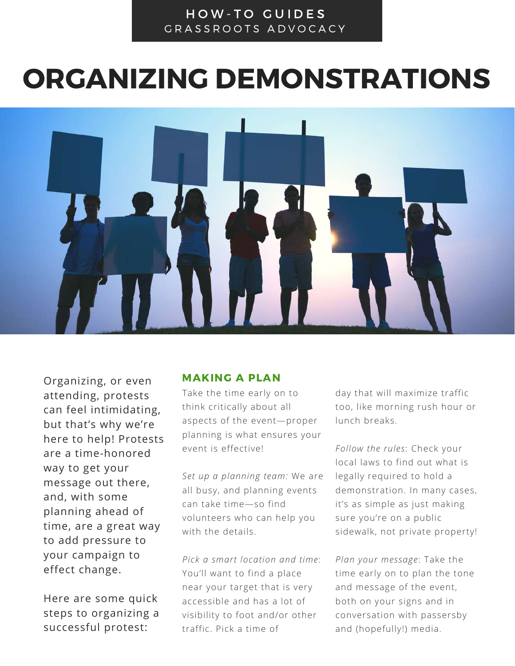# HOW-TO GUIDES GRASSROOTS ADVOCACY

# ORGANIZING DEMONSTRATIONS



Organizing, or even MAKING A PLAN attending, protests can feel intimidating, but that's why we're here to help! Protests are a time-honored way to get your message out there, and, with some planning ahead of time, are a great way to add pressure to your campaign to effect change.

Here are some quick steps to organizing a successful protest:

Take the time early on to think critically about all aspects of the event—proper planning is what ensures your event is effective!

*Set up a planning team:* We are all busy, and planning events can take time—so find volunteers who can help you with the details.

*Pick a smart location and time*: You'll want to find a place near your target that is very accessible and has a lot of visibility to foot and/or other traffic. Pick a time of

day that will maximize traffic too, like morning rush hour or lunch breaks.

*Follow the rules*: Check your local laws to find out what is legally required to hold a demonstration. In many cases, it's as simple as just making sure you're on a public sidewalk, not private property!

*Plan your message*: Take the time early on to plan the tone and message of the event, both on your signs and in conversation with passersby and (hopefully!) media.